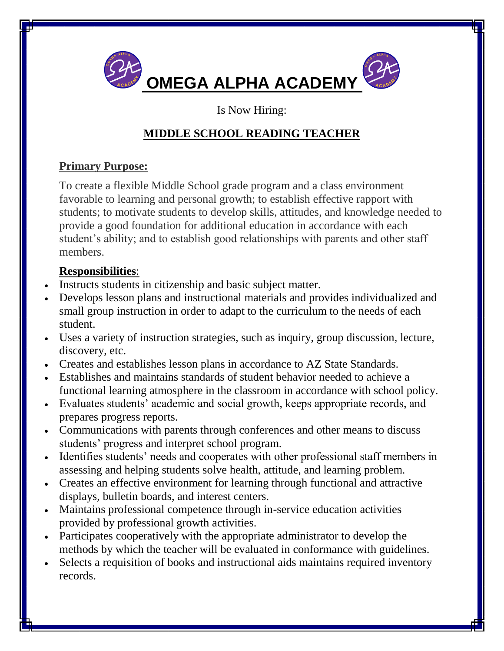

#### Is Now Hiring:

# **MIDDLE SCHOOL READING TEACHER**

## **Primary Purpose:**

To create a flexible Middle School grade program and a class environment favorable to learning and personal growth; to establish effective rapport with students; to motivate students to develop skills, attitudes, and knowledge needed to provide a good foundation for additional education in accordance with each student's ability; and to establish good relationships with parents and other staff members.

## **Responsibilities**:

- Instructs students in citizenship and basic subject matter.
- Develops lesson plans and instructional materials and provides individualized and small group instruction in order to adapt to the curriculum to the needs of each student.
- Uses a variety of instruction strategies, such as inquiry, group discussion, lecture, discovery, etc.
- Creates and establishes lesson plans in accordance to AZ State Standards.
- Establishes and maintains standards of student behavior needed to achieve a functional learning atmosphere in the classroom in accordance with school policy.
- Evaluates students' academic and social growth, keeps appropriate records, and prepares progress reports.
- Communications with parents through conferences and other means to discuss students' progress and interpret school program.
- Identifies students' needs and cooperates with other professional staff members in assessing and helping students solve health, attitude, and learning problem.
- Creates an effective environment for learning through functional and attractive displays, bulletin boards, and interest centers.
- Maintains professional competence through in-service education activities provided by professional growth activities.
- Participates cooperatively with the appropriate administrator to develop the methods by which the teacher will be evaluated in conformance with guidelines.
- Selects a requisition of books and instructional aids maintains required inventory records.